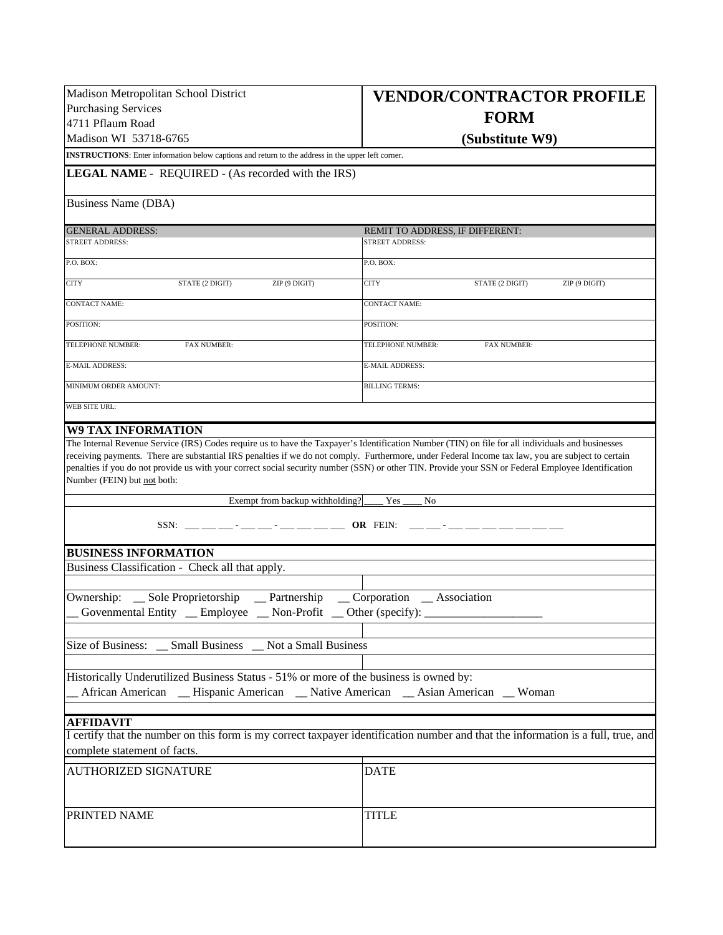| Madison Metropolitan School District                                                                                                                                                                                                                                                                                                     | <b>VENDOR/CONTRACTOR PROFILE</b>                                                                                                  |  |  |  |  |  |
|------------------------------------------------------------------------------------------------------------------------------------------------------------------------------------------------------------------------------------------------------------------------------------------------------------------------------------------|-----------------------------------------------------------------------------------------------------------------------------------|--|--|--|--|--|
| <b>Purchasing Services</b>                                                                                                                                                                                                                                                                                                               | <b>FORM</b>                                                                                                                       |  |  |  |  |  |
| 4711 Pflaum Road                                                                                                                                                                                                                                                                                                                         |                                                                                                                                   |  |  |  |  |  |
| Madison WI 53718-6765                                                                                                                                                                                                                                                                                                                    | (Substitute W9)                                                                                                                   |  |  |  |  |  |
| <b>INSTRUCTIONS:</b> Enter information below captions and return to the address in the upper left corner.                                                                                                                                                                                                                                |                                                                                                                                   |  |  |  |  |  |
| LEGAL NAME - REQUIRED - (As recorded with the IRS)                                                                                                                                                                                                                                                                                       |                                                                                                                                   |  |  |  |  |  |
| Business Name (DBA)                                                                                                                                                                                                                                                                                                                      |                                                                                                                                   |  |  |  |  |  |
| <b>GENERAL ADDRESS:</b>                                                                                                                                                                                                                                                                                                                  | REMIT TO ADDRESS, IF DIFFERENT:                                                                                                   |  |  |  |  |  |
| <b>STREET ADDRESS:</b>                                                                                                                                                                                                                                                                                                                   | STREET ADDRESS:                                                                                                                   |  |  |  |  |  |
| P.O. BOX:                                                                                                                                                                                                                                                                                                                                | P.O. BOX:                                                                                                                         |  |  |  |  |  |
| <b>CITY</b><br>STATE (2 DIGIT)<br>ZIP (9 DIGIT)                                                                                                                                                                                                                                                                                          | <b>CITY</b><br>STATE (2 DIGIT)<br>ZIP (9 DIGIT)                                                                                   |  |  |  |  |  |
| <b>CONTACT NAME:</b>                                                                                                                                                                                                                                                                                                                     | <b>CONTACT NAME:</b>                                                                                                              |  |  |  |  |  |
| POSITION:                                                                                                                                                                                                                                                                                                                                | POSITION:                                                                                                                         |  |  |  |  |  |
| TELEPHONE NUMBER:<br><b>FAX NUMBER:</b>                                                                                                                                                                                                                                                                                                  | TELEPHONE NUMBER:<br><b>FAX NUMBER:</b>                                                                                           |  |  |  |  |  |
| <b>E-MAIL ADDRESS:</b>                                                                                                                                                                                                                                                                                                                   | <b>E-MAIL ADDRESS:</b>                                                                                                            |  |  |  |  |  |
| MINIMUM ORDER AMOUNT:                                                                                                                                                                                                                                                                                                                    | <b>BILLING TERMS:</b>                                                                                                             |  |  |  |  |  |
| WEB SITE URL:                                                                                                                                                                                                                                                                                                                            |                                                                                                                                   |  |  |  |  |  |
| <b>W9 TAX INFORMATION</b>                                                                                                                                                                                                                                                                                                                |                                                                                                                                   |  |  |  |  |  |
| The Internal Revenue Service (IRS) Codes require us to have the Taxpayer's Identification Number (TIN) on file for all individuals and businesses                                                                                                                                                                                        |                                                                                                                                   |  |  |  |  |  |
| receiving payments. There are substantial IRS penalties if we do not comply. Furthermore, under Federal Income tax law, you are subject to certain<br>penalties if you do not provide us with your correct social security number (SSN) or other TIN. Provide your SSN or Federal Employee Identification<br>Number (FEIN) but not both: |                                                                                                                                   |  |  |  |  |  |
| Exempt from backup withholding?                                                                                                                                                                                                                                                                                                          | Yes<br>No                                                                                                                         |  |  |  |  |  |
|                                                                                                                                                                                                                                                                                                                                          | OR FEIN:                                                                                                                          |  |  |  |  |  |
| <b>BUSINESS INFORMATION</b>                                                                                                                                                                                                                                                                                                              |                                                                                                                                   |  |  |  |  |  |
| Business Classification - Check all that apply.                                                                                                                                                                                                                                                                                          |                                                                                                                                   |  |  |  |  |  |
|                                                                                                                                                                                                                                                                                                                                          |                                                                                                                                   |  |  |  |  |  |
| Ownership: _ Sole Proprietorship<br>Corporation _ Association<br>$\equiv$ Partnership<br>Govenmental Entity _ Employee _ Non-Profit _ Other (specify): _                                                                                                                                                                                 |                                                                                                                                   |  |  |  |  |  |
|                                                                                                                                                                                                                                                                                                                                          |                                                                                                                                   |  |  |  |  |  |
| Size of Business: _ Small Business _ Not a Small Business                                                                                                                                                                                                                                                                                |                                                                                                                                   |  |  |  |  |  |
| Historically Underutilized Business Status - 51% or more of the business is owned by:                                                                                                                                                                                                                                                    |                                                                                                                                   |  |  |  |  |  |
| _ African American _ Hispanic American _ Native American _ Asian American _ Woman                                                                                                                                                                                                                                                        |                                                                                                                                   |  |  |  |  |  |
|                                                                                                                                                                                                                                                                                                                                          |                                                                                                                                   |  |  |  |  |  |
| <b>AFFIDAVIT</b>                                                                                                                                                                                                                                                                                                                         |                                                                                                                                   |  |  |  |  |  |
| complete statement of facts.                                                                                                                                                                                                                                                                                                             | I certify that the number on this form is my correct taxpayer identification number and that the information is a full, true, and |  |  |  |  |  |
| AUTHORIZED SIGNATURE                                                                                                                                                                                                                                                                                                                     | <b>DATE</b>                                                                                                                       |  |  |  |  |  |
|                                                                                                                                                                                                                                                                                                                                          |                                                                                                                                   |  |  |  |  |  |
| PRINTED NAME                                                                                                                                                                                                                                                                                                                             | <b>TITLE</b>                                                                                                                      |  |  |  |  |  |
|                                                                                                                                                                                                                                                                                                                                          |                                                                                                                                   |  |  |  |  |  |